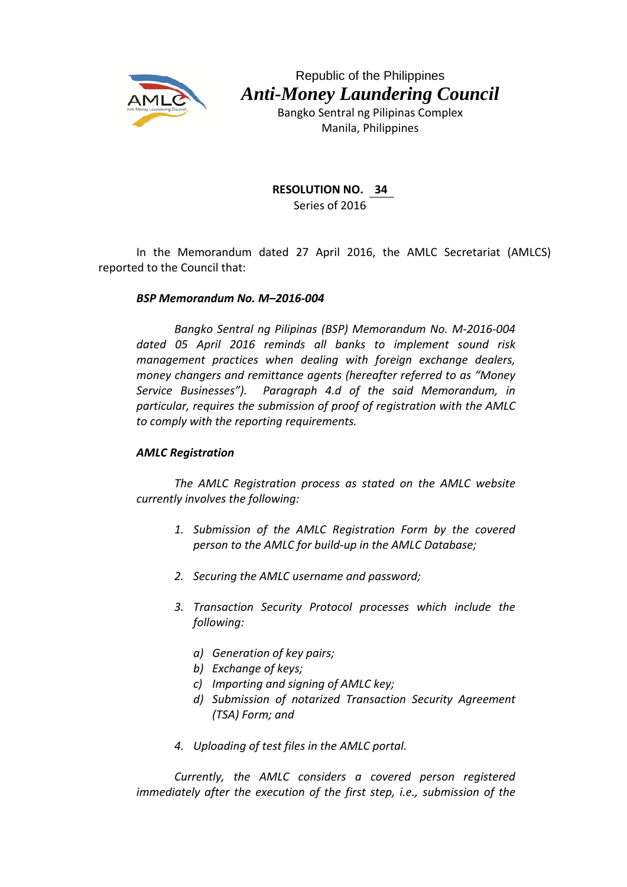

Republic of the Philippines *Anti-Money Laundering Council* 

> Bangko Sentral ng Pilipinas Complex Manila, Philippines

## **RESOLUTION NO. 34**

Series of 2016

In the Memorandum dated 27 April 2016, the AMLC Secretariat (AMLCS) reported to the Council that:

## *BSP Memorandum No. M–2016‐004*

*Bangko Sentral ng Pilipinas (BSP) Memorandum No. M‐2016‐004 dated 05 April 2016 reminds all banks to implement sound risk management practices when dealing with foreign exchange dealers, money changers and remittance agents (hereafter referred to as "Money Service Businesses"). Paragraph 4.d of the said Memorandum, in particular, requires the submission of proof of registration with the AMLC to comply with the reporting requirements.*

## *AMLC Registration*

*The AMLC Registration process as stated on the AMLC website currently involves the following:*

- *1. Submission of the AMLC Registration Form by the covered person to the AMLC for build‐up in the AMLC Database;*
- *2. Securing the AMLC username and password;*
- *3. Transaction Security Protocol processes which include the following:*
	- *a) Generation of key pairs;*
	- *b) Exchange of keys;*
	- *c) Importing and signing of AMLC key;*
	- *d) Submission of notarized Transaction Security Agreement (TSA) Form; and*
- *4. Uploading of test files in the AMLC portal.*

*Currently, the AMLC considers a covered person registered immediately after the execution of the first step, i.e., submission of the*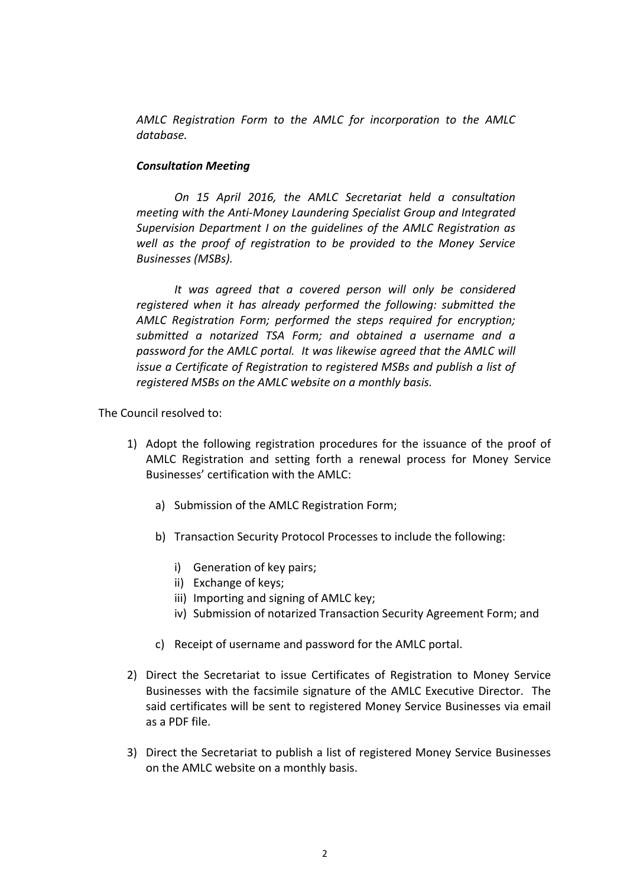*AMLC Registration Form to the AMLC for incorporation to the AMLC database.* 

## *Consultation Meeting*

*On 15 April 2016, the AMLC Secretariat held a consultation meeting with the Anti‐Money Laundering Specialist Group and Integrated Supervision Department I on the guidelines of the AMLC Registration as well as the proof of registration to be provided to the Money Service Businesses (MSBs).*

*It was agreed that a covered person will only be considered registered when it has already performed the following: submitted the AMLC Registration Form; performed the steps required for encryption; submitted a notarized TSA Form; and obtained a username and a password for the AMLC portal. It was likewise agreed that the AMLC will issue a Certificate of Registration to registered MSBs and publish a list of registered MSBs on the AMLC website on a monthly basis.*

The Council resolved to:

- 1) Adopt the following registration procedures for the issuance of the proof of AMLC Registration and setting forth a renewal process for Money Service Businesses' certification with the AMLC:
	- a) Submission of the AMLC Registration Form;
	- b) Transaction Security Protocol Processes to include the following:
		- i) Generation of key pairs;
		- ii) Exchange of keys;
		- iii) Importing and signing of AMLC key;
		- iv) Submission of notarized Transaction Security Agreement Form; and
	- c) Receipt of username and password for the AMLC portal.
- 2) Direct the Secretariat to issue Certificates of Registration to Money Service Businesses with the facsimile signature of the AMLC Executive Director. The said certificates will be sent to registered Money Service Businesses via email as a PDF file.
- 3) Direct the Secretariat to publish a list of registered Money Service Businesses on the AMLC website on a monthly basis.